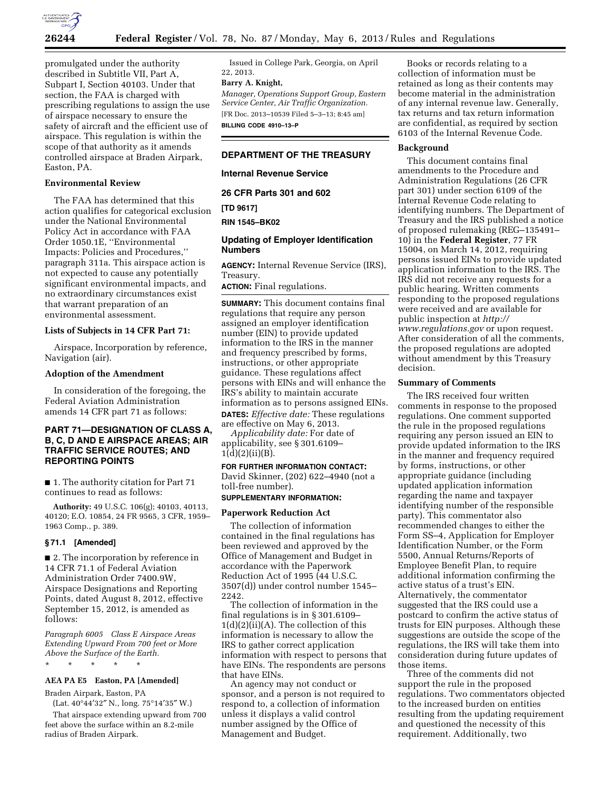

promulgated under the authority described in Subtitle VII, Part A, Subpart I, Section 40103. Under that section, the FAA is charged with prescribing regulations to assign the use of airspace necessary to ensure the safety of aircraft and the efficient use of airspace. This regulation is within the scope of that authority as it amends controlled airspace at Braden Airpark, Easton, PA.

## **Environmental Review**

The FAA has determined that this action qualifies for categorical exclusion under the National Environmental Policy Act in accordance with FAA Order 1050.1E, ''Environmental Impacts: Policies and Procedures,'' paragraph 311a. This airspace action is not expected to cause any potentially significant environmental impacts, and no extraordinary circumstances exist that warrant preparation of an environmental assessment.

### **Lists of Subjects in 14 CFR Part 71:**

Airspace, Incorporation by reference, Navigation (air).

### **Adoption of the Amendment**

In consideration of the foregoing, the Federal Aviation Administration amends 14 CFR part 71 as follows:

# **PART 71—DESIGNATION OF CLASS A, B, C, D AND E AIRSPACE AREAS; AIR TRAFFIC SERVICE ROUTES; AND REPORTING POINTS**

■ 1. The authority citation for Part 71 continues to read as follows:

**Authority:** 49 U.S.C. 106(g); 40103, 40113, 40120; E.O. 10854, 24 FR 9565, 3 CFR, 1959– 1963 Comp., p. 389.

### **§ 71.1 [Amended]**

■ 2. The incorporation by reference in 14 CFR 71.1 of Federal Aviation Administration Order 7400.9W, Airspace Designations and Reporting Points, dated August 8, 2012, effective September 15, 2012, is amended as follows:

*Paragraph 6005 Class E Airspace Areas Extending Upward From 700 feet or More Above the Surface of the Earth.* 

\* \* \* \* \*

### **AEA PA E5 Easton, PA [Amended]**

Braden Airpark, Easton, PA

(Lat. 40°44′32″ N., long. 75°14′35″ W.) That airspace extending upward from 700 feet above the surface within an 8.2-mile radius of Braden Airpark.

Issued in College Park, Georgia, on April 22, 2013.

# **Barry A. Knight,**

*Manager, Operations Support Group, Eastern Service Center, Air Traffic Organization.*  [FR Doc. 2013–10539 Filed 5–3–13; 8:45 am] **BILLING CODE 4910–13–P** 

### **DEPARTMENT OF THE TREASURY**

### **Internal Revenue Service**

**26 CFR Parts 301 and 602** 

**[TD 9617]** 

**RIN 1545–BK02** 

### **Updating of Employer Identification Numbers**

**AGENCY:** Internal Revenue Service (IRS), Treasury.

**ACTION:** Final regulations.

**SUMMARY:** This document contains final regulations that require any person assigned an employer identification number (EIN) to provide updated information to the IRS in the manner and frequency prescribed by forms, instructions, or other appropriate guidance. These regulations affect persons with EINs and will enhance the IRS's ability to maintain accurate information as to persons assigned EINs. **DATES:** *Effective date:* These regulations are effective on May 6, 2013.

*Applicability date:* For date of applicability, see § 301.6109–  $1(d)(2)(ii)(B)$ .

**FOR FURTHER INFORMATION CONTACT:**  David Skinner, (202) 622–4940 (not a toll-free number).

## **SUPPLEMENTARY INFORMATION:**

#### **Paperwork Reduction Act**

The collection of information contained in the final regulations has been reviewed and approved by the Office of Management and Budget in accordance with the Paperwork Reduction Act of 1995 (44 U.S.C. 3507(d)) under control number 1545– 2242.

The collection of information in the final regulations is in § 301.6109–  $1(d)(2)(ii)(A)$ . The collection of this information is necessary to allow the IRS to gather correct application information with respect to persons that have EINs. The respondents are persons that have EINs.

An agency may not conduct or sponsor, and a person is not required to respond to, a collection of information unless it displays a valid control number assigned by the Office of Management and Budget.

Books or records relating to a collection of information must be retained as long as their contents may become material in the administration of any internal revenue law. Generally, tax returns and tax return information are confidential, as required by section 6103 of the Internal Revenue Code.

## **Background**

This document contains final amendments to the Procedure and Administration Regulations (26 CFR part 301) under section 6109 of the Internal Revenue Code relating to identifying numbers. The Department of Treasury and the IRS published a notice of proposed rulemaking (REG–135491– 10) in the **Federal Register**, 77 FR 15004, on March 14, 2012, requiring persons issued EINs to provide updated application information to the IRS. The IRS did not receive any requests for a public hearing. Written comments responding to the proposed regulations were received and are available for public inspection at *[http://](http://www.regulations.gov) [www.regulations.gov](http://www.regulations.gov)* or upon request. After consideration of all the comments, the proposed regulations are adopted without amendment by this Treasury decision.

#### **Summary of Comments**

The IRS received four written comments in response to the proposed regulations. One comment supported the rule in the proposed regulations requiring any person issued an EIN to provide updated information to the IRS in the manner and frequency required by forms, instructions, or other appropriate guidance (including updated application information regarding the name and taxpayer identifying number of the responsible party). This commentator also recommended changes to either the Form SS–4, Application for Employer Identification Number, or the Form 5500, Annual Returns/Reports of Employee Benefit Plan, to require additional information confirming the active status of a trust's EIN. Alternatively, the commentator suggested that the IRS could use a postcard to confirm the active status of trusts for EIN purposes. Although these suggestions are outside the scope of the regulations, the IRS will take them into consideration during future updates of those items.

Three of the comments did not support the rule in the proposed regulations. Two commentators objected to the increased burden on entities resulting from the updating requirement and questioned the necessity of this requirement. Additionally, two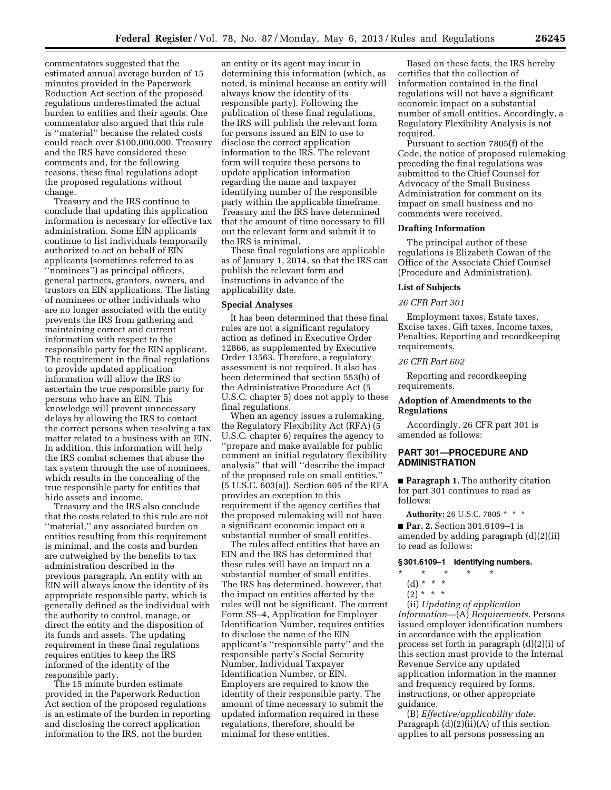commentators suggested that the estimated annual average burden of 15 minutes provided in the Paperwork Reduction Act section of the proposed regulations underestimated the actual burden to entities and their agents. One commentator also argued that this rule is ''material'' because the related costs could reach over \$100,000,000. Treasury and the IRS have considered these comments and, for the following reasons, these final regulations adopt the proposed regulations without change.

Treasury and the IRS continue to conclude that updating this application information is necessary for effective tax administration. Some EIN applicants continue to list individuals temporarily authorized to act on behalf of EIN applicants (sometimes referred to as ''nominees'') as principal officers, general partners, grantors, owners, and trustors on EIN applications. The listing of nominees or other individuals who are no longer associated with the entity prevents the IRS from gathering and maintaining correct and current information with respect to the responsible party for the EIN applicant. The requirement in the final regulations to provide updated application information will allow the IRS to ascertain the true responsible party for persons who have an EIN. This knowledge will prevent unnecessary delays by allowing the IRS to contact the correct persons when resolving a tax matter related to a business with an EIN. In addition, this information will help the IRS combat schemes that abuse the tax system through the use of nominees, which results in the concealing of the true responsible party for entities that hide assets and income.

Treasury and the IRS also conclude that the costs related to this rule are not ''material,'' any associated burden on entities resulting from this requirement is minimal, and the costs and burden are outweighed by the benefits to tax administration described in the previous paragraph. An entity with an EIN will always know the identity of its appropriate responsible party, which is generally defined as the individual with the authority to control, manage, or direct the entity and the disposition of its funds and assets. The updating requirement in these final regulations requires entities to keep the IRS informed of the identity of the responsible party.

The 15 minute burden estimate provided in the Paperwork Reduction Act section of the proposed regulations is an estimate of the burden in reporting and disclosing the correct application information to the IRS, not the burden

an entity or its agent may incur in determining this information (which, as noted, is minimal because an entity will always know the identity of its responsible party). Following the publication of these final regulations, the IRS will publish the relevant form for persons issued an EIN to use to disclose the correct application information to the IRS. The relevant form will require these persons to update application information regarding the name and taxpayer identifying number of the responsible party within the applicable timeframe. Treasury and the IRS have determined that the amount of time necessary to fill out the relevant form and submit it to the IRS is minimal.

These final regulations are applicable as of January 1, 2014, so that the IRS can publish the relevant form and instructions in advance of the applicability date.

### **Special Analyses**

It has been determined that these final rules are not a significant regulatory action as defined in Executive Order 12866, as supplemented by Executive Order 13563. Therefore, a regulatory assessment is not required. It also has been determined that section 553(b) of the Administrative Procedure Act (5 U.S.C. chapter 5) does not apply to these final regulations.

When an agency issues a rulemaking, the Regulatory Flexibility Act (RFA) (5 U.S.C. chapter 6) requires the agency to ''prepare and make available for public comment an initial regulatory flexibility analysis'' that will ''describe the impact of the proposed rule on small entities.'' (5 U.S.C. 603(a)). Section 605 of the RFA provides an exception to this requirement if the agency certifies that the proposed rulemaking will not have a significant economic impact on a substantial number of small entities.

The rules affect entities that have an EIN and the IRS has determined that these rules will have an impact on a substantial number of small entities. The IRS has determined, however, that the impact on entities affected by the rules will not be significant. The current Form SS–4, Application for Employer Identification Number, requires entities to disclose the name of the EIN applicant's ''responsible party'' and the responsible party's Social Security Number, Individual Taxpayer Identification Number, or EIN. Employers are required to know the identity of their responsible party. The amount of time necessary to submit the updated information required in these regulations, therefore, should be minimal for these entities.

Based on these facts, the IRS hereby certifies that the collection of information contained in the final regulations will not have a significant economic impact on a substantial number of small entities. Accordingly, a Regulatory Flexibility Analysis is not required.

Pursuant to section 7805(f) of the Code, the notice of proposed rulemaking preceding the final regulations was submitted to the Chief Counsel for Advocacy of the Small Business Administration for comment on its impact on small business and no comments were received.

#### **Drafting Information**

The principal author of these regulations is Elizabeth Cowan of the Office of the Associate Chief Counsel (Procedure and Administration).

#### **List of Subjects**

#### *26 CFR Part 301*

Employment taxes, Estate taxes, Excise taxes, Gift taxes, Income taxes, Penalties, Reporting and recordkeeping requirements.

#### *26 CFR Part 602*

Reporting and recordkeeping requirements.

## **Adoption of Amendments to the Regulations**

Accordingly, 26 CFR part 301 is amended as follows:

### **PART 301—PROCEDURE AND ADMINISTRATION**

■ **Paragraph 1.** The authority citation for part 301 continues to read as follows:

**Authority:** 26 U.S.C. 7805 \* \* \* ■ **Par. 2.** Section 301.6109-1 is amended by adding paragraph (d)(2)(ii) to read as follows:

# **§ 301.6109–1 Identifying numbers.**

# \* \* \* \* \*

- (d) \* \* \*
- $(2)^{*}$  \* \*

(ii) *Updating of application information*—(A) *Requirements.* Persons issued employer identification numbers in accordance with the application process set forth in paragraph (d)(2)(i) of this section must provide to the Internal Revenue Service any updated application information in the manner and frequency required by forms, instructions, or other appropriate guidance.

(B) *Effective/applicability date.*  Paragraph  $(d)(2)(ii)(A)$  of this section applies to all persons possessing an